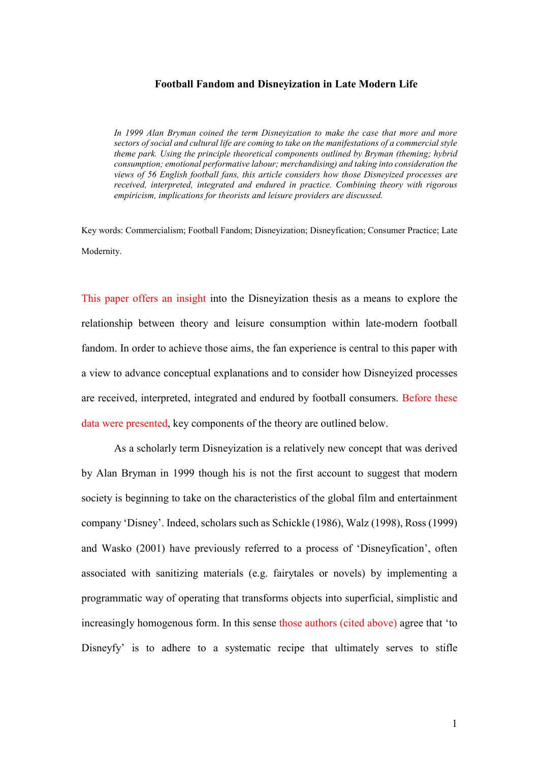#### **Football Fandom and Disneyization in Late Modern Life**

*In 1999 Alan Bryman coined the term Disneyization to make the case that more and more sectors of social and cultural life are coming to take on the manifestations of a commercial style theme park. Using the principle theoretical components outlined by Bryman (theming; hybrid consumption; emotional performative labour; merchandising) and taking into consideration the views of 56 English football fans, this article considers how those Disneyized processes are received, interpreted, integrated and endured in practice. Combining theory with rigorous empiricism, implications for theorists and leisure providers are discussed.* 

Key words: Commercialism; Football Fandom; Disneyization; Disneyfication; Consumer Practice; Late Modernity.

This paper offers an insight into the Disneyization thesis as a means to explore the relationship between theory and leisure consumption within late-modern football fandom. In order to achieve those aims, the fan experience is central to this paper with a view to advance conceptual explanations and to consider how Disneyized processes are received, interpreted, integrated and endured by football consumers. Before these data were presented, key components of the theory are outlined below.

As a scholarly term Disneyization is a relatively new concept that was derived by Alan Bryman in 1999 though his is not the first account to suggest that modern society is beginning to take on the characteristics of the global film and entertainment company 'Disney'. Indeed, scholars such as Schickle (1986), Walz (1998), Ross (1999) and Wasko (2001) have previously referred to a process of 'Disneyfication', often associated with sanitizing materials (e.g. fairytales or novels) by implementing a programmatic way of operating that transforms objects into superficial, simplistic and increasingly homogenous form. In this sense those authors (cited above) agree that 'to Disneyfy' is to adhere to a systematic recipe that ultimately serves to stifle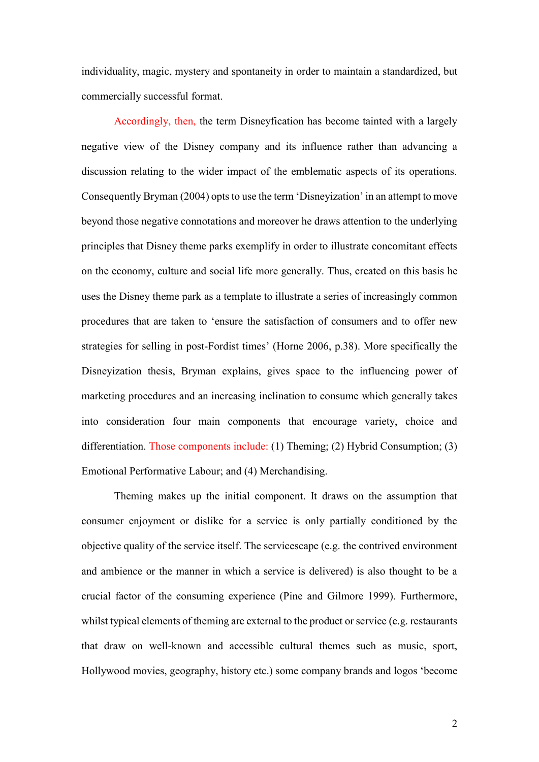individuality, magic, mystery and spontaneity in order to maintain a standardized, but commercially successful format.

Accordingly, then, the term Disneyfication has become tainted with a largely negative view of the Disney company and its influence rather than advancing a discussion relating to the wider impact of the emblematic aspects of its operations. Consequently Bryman (2004) opts to use the term 'Disneyization' in an attempt to move beyond those negative connotations and moreover he draws attention to the underlying principles that Disney theme parks exemplify in order to illustrate concomitant effects on the economy, culture and social life more generally. Thus, created on this basis he uses the Disney theme park as a template to illustrate a series of increasingly common procedures that are taken to 'ensure the satisfaction of consumers and to offer new strategies for selling in post-Fordist times' (Horne 2006, p.38). More specifically the Disneyization thesis, Bryman explains, gives space to the influencing power of marketing procedures and an increasing inclination to consume which generally takes into consideration four main components that encourage variety, choice and differentiation. Those components include: (1) Theming; (2) Hybrid Consumption; (3) Emotional Performative Labour; and (4) Merchandising.

 Theming makes up the initial component. It draws on the assumption that consumer enjoyment or dislike for a service is only partially conditioned by the objective quality of the service itself. The servicescape (e.g. the contrived environment and ambience or the manner in which a service is delivered) is also thought to be a crucial factor of the consuming experience (Pine and Gilmore 1999). Furthermore, whilst typical elements of theming are external to the product or service (e.g. restaurants that draw on well-known and accessible cultural themes such as music, sport, Hollywood movies, geography, history etc.) some company brands and logos 'become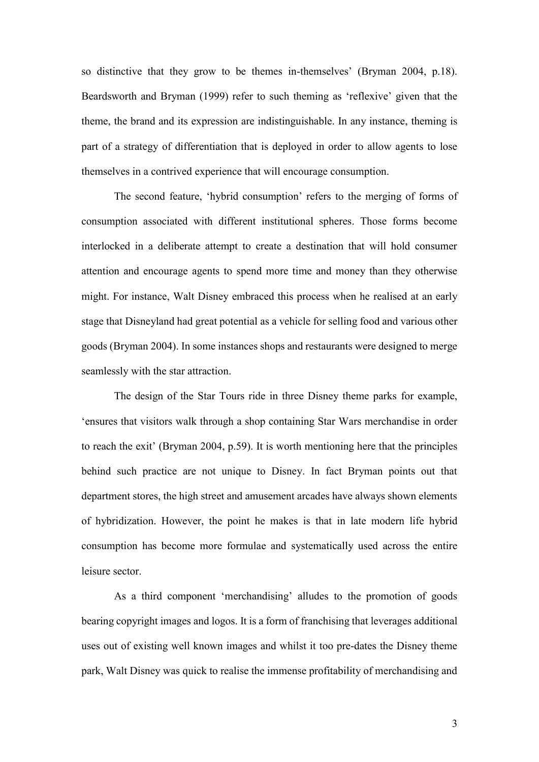so distinctive that they grow to be themes in-themselves' (Bryman 2004, p.18). Beardsworth and Bryman (1999) refer to such theming as 'reflexive' given that the theme, the brand and its expression are indistinguishable. In any instance, theming is part of a strategy of differentiation that is deployed in order to allow agents to lose themselves in a contrived experience that will encourage consumption.

 The second feature, 'hybrid consumption' refers to the merging of forms of consumption associated with different institutional spheres. Those forms become interlocked in a deliberate attempt to create a destination that will hold consumer attention and encourage agents to spend more time and money than they otherwise might. For instance, Walt Disney embraced this process when he realised at an early stage that Disneyland had great potential as a vehicle for selling food and various other goods (Bryman 2004). In some instances shops and restaurants were designed to merge seamlessly with the star attraction.

The design of the Star Tours ride in three Disney theme parks for example, 'ensures that visitors walk through a shop containing Star Wars merchandise in order to reach the exit' (Bryman 2004, p.59). It is worth mentioning here that the principles behind such practice are not unique to Disney. In fact Bryman points out that department stores, the high street and amusement arcades have always shown elements of hybridization. However, the point he makes is that in late modern life hybrid consumption has become more formulae and systematically used across the entire leisure sector.

 As a third component 'merchandising' alludes to the promotion of goods bearing copyright images and logos. It is a form of franchising that leverages additional uses out of existing well known images and whilst it too pre-dates the Disney theme park, Walt Disney was quick to realise the immense profitability of merchandising and

3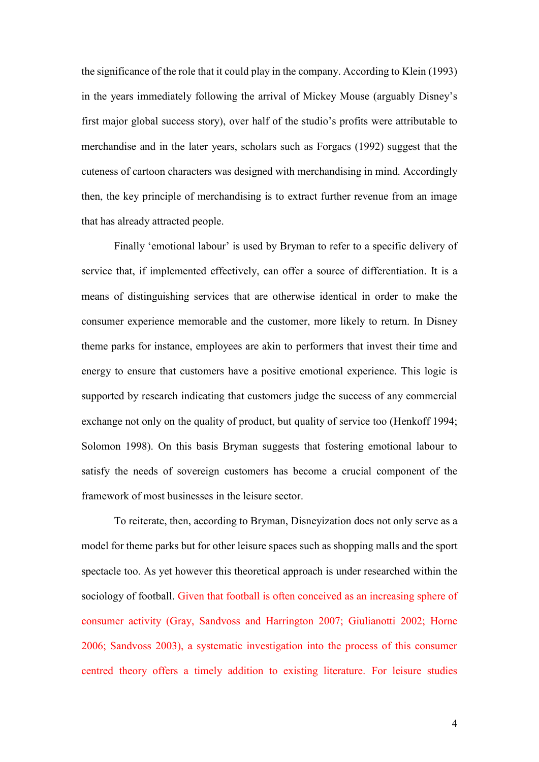the significance of the role that it could play in the company. According to Klein (1993) in the years immediately following the arrival of Mickey Mouse (arguably Disney's first major global success story), over half of the studio's profits were attributable to merchandise and in the later years, scholars such as Forgacs (1992) suggest that the cuteness of cartoon characters was designed with merchandising in mind. Accordingly then, the key principle of merchandising is to extract further revenue from an image that has already attracted people.

 Finally 'emotional labour' is used by Bryman to refer to a specific delivery of service that, if implemented effectively, can offer a source of differentiation. It is a means of distinguishing services that are otherwise identical in order to make the consumer experience memorable and the customer, more likely to return. In Disney theme parks for instance, employees are akin to performers that invest their time and energy to ensure that customers have a positive emotional experience. This logic is supported by research indicating that customers judge the success of any commercial exchange not only on the quality of product, but quality of service too (Henkoff 1994; Solomon 1998). On this basis Bryman suggests that fostering emotional labour to satisfy the needs of sovereign customers has become a crucial component of the framework of most businesses in the leisure sector.

To reiterate, then, according to Bryman, Disneyization does not only serve as a model for theme parks but for other leisure spaces such as shopping malls and the sport spectacle too. As yet however this theoretical approach is under researched within the sociology of football. Given that football is often conceived as an increasing sphere of consumer activity (Gray, Sandvoss and Harrington 2007; Giulianotti 2002; Horne 2006; Sandvoss 2003), a systematic investigation into the process of this consumer centred theory offers a timely addition to existing literature. For leisure studies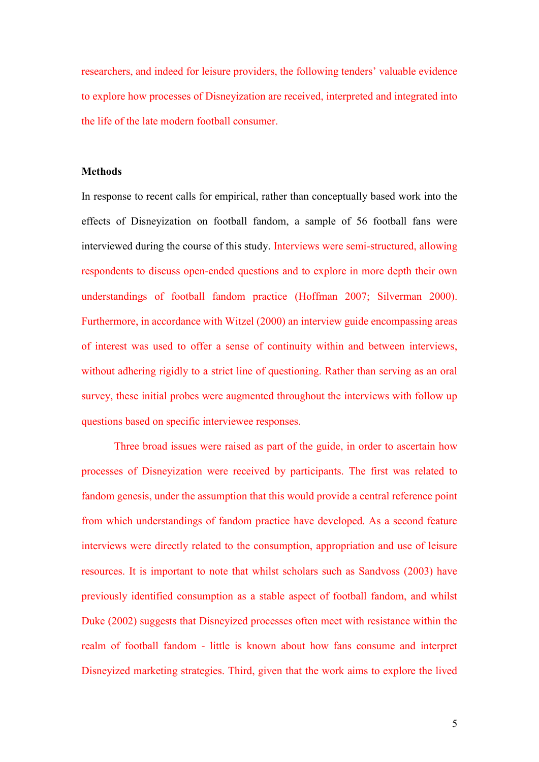researchers, and indeed for leisure providers, the following tenders' valuable evidence to explore how processes of Disneyization are received, interpreted and integrated into the life of the late modern football consumer.

### **Methods**

In response to recent calls for empirical, rather than conceptually based work into the effects of Disneyization on football fandom, a sample of 56 football fans were interviewed during the course of this study. Interviews were semi-structured, allowing respondents to discuss open-ended questions and to explore in more depth their own understandings of football fandom practice (Hoffman 2007; Silverman 2000). Furthermore, in accordance with Witzel (2000) an interview guide encompassing areas of interest was used to offer a sense of continuity within and between interviews, without adhering rigidly to a strict line of questioning. Rather than serving as an oral survey, these initial probes were augmented throughout the interviews with follow up questions based on specific interviewee responses.

Three broad issues were raised as part of the guide, in order to ascertain how processes of Disneyization were received by participants. The first was related to fandom genesis, under the assumption that this would provide a central reference point from which understandings of fandom practice have developed. As a second feature interviews were directly related to the consumption, appropriation and use of leisure resources. It is important to note that whilst scholars such as Sandvoss (2003) have previously identified consumption as a stable aspect of football fandom, and whilst Duke (2002) suggests that Disneyized processes often meet with resistance within the realm of football fandom - little is known about how fans consume and interpret Disneyized marketing strategies. Third, given that the work aims to explore the lived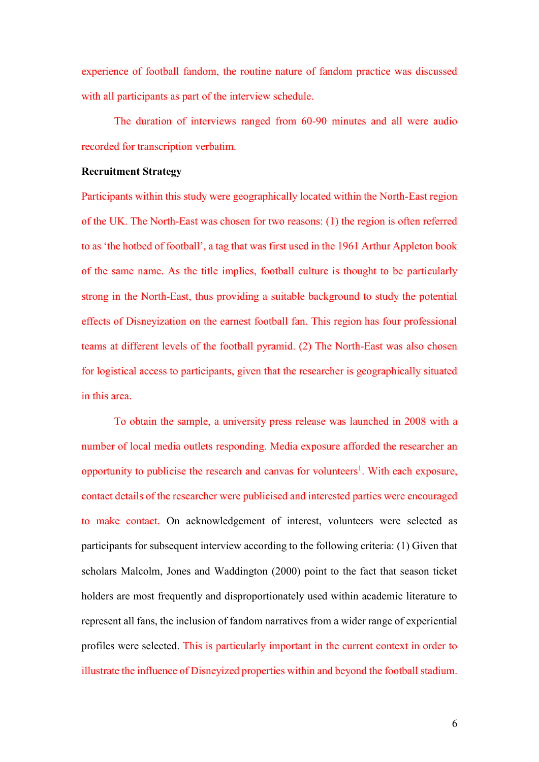experience of football fandom, the routine nature of fandom practice was discussed with all participants as part of the interview schedule.

The duration of interviews ranged from 60-90 minutes and all were audio recorded for transcription verbatim.

# **Recruitment Strategy**

Participants within this study were geographically located within the North-East region of the UK. The North-East was chosen for two reasons: (1) the region is often referred to as 'the hotbed of football', a tag that was first used in the 1961 Arthur Appleton book of the same name. As the title implies, football culture is thought to be particularly strong in the North-East, thus providing a suitable background to study the potential effects of Disneyization on the earnest football fan. This region has four professional teams at different levels of the football pyramid. (2) The North-East was also chosen for logistical access to participants, given that the researcher is geographically situated in this area.

To obtain the sample, a university press release was launched in 2008 with a number of local media outlets responding. Media exposure afforded the researcher an opportunity to publicise the research and canvas for volunteers<sup>1</sup>. With each exposure, contact details of the researcher were publicised and interested parties were encouraged to make contact. On acknowledgement of interest, volunteers were selected as participants for subsequent interview according to the following criteria: (1) Given that scholars Malcolm, Jones and Waddington (2000) point to the fact that season ticket holders are most frequently and disproportionately used within academic literature to represent all fans, the inclusion of fandom narratives from a wider range of experiential profiles were selected. This is particularly important in the current context in order to illustrate the influence of Disneyized properties within and beyond the football stadium.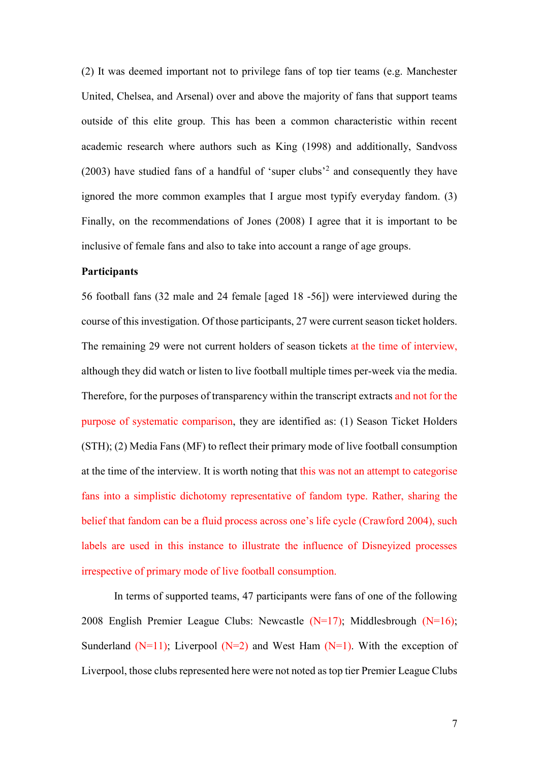(2) It was deemed important not to privilege fans of top tier teams (e.g. Manchester United, Chelsea, and Arsenal) over and above the majority of fans that support teams outside of this elite group. This has been a common characteristic within recent academic research where authors such as King (1998) and additionally, Sandvoss  $(2003)$  have studied fans of a handful of 'super clubs'<sup>2</sup> and consequently they have ignored the more common examples that I argue most typify everyday fandom. (3) Finally, on the recommendations of Jones (2008) I agree that it is important to be inclusive of female fans and also to take into account a range of age groups.

# **Participants**

56 football fans (32 male and 24 female [aged 18 -56]) were interviewed during the course of this investigation. Of those participants, 27 were current season ticket holders. The remaining 29 were not current holders of season tickets at the time of interview, although they did watch or listen to live football multiple times per-week via the media. Therefore, for the purposes of transparency within the transcript extracts and not for the purpose of systematic comparison, they are identified as: (1) Season Ticket Holders (STH); (2) Media Fans (MF) to reflect their primary mode of live football consumption at the time of the interview. It is worth noting that this was not an attempt to categorise fans into a simplistic dichotomy representative of fandom type. Rather, sharing the belief that fandom can be a fluid process across one's life cycle (Crawford 2004), such labels are used in this instance to illustrate the influence of Disneyized processes irrespective of primary mode of live football consumption.

In terms of supported teams, 47 participants were fans of one of the following 2008 English Premier League Clubs: Newcastle  $(N=17)$ ; Middlesbrough  $(N=16)$ ; Sunderland  $(N=11)$ ; Liverpool  $(N=2)$  and West Ham  $(N=1)$ . With the exception of Liverpool, those clubs represented here were not noted as top tier Premier League Clubs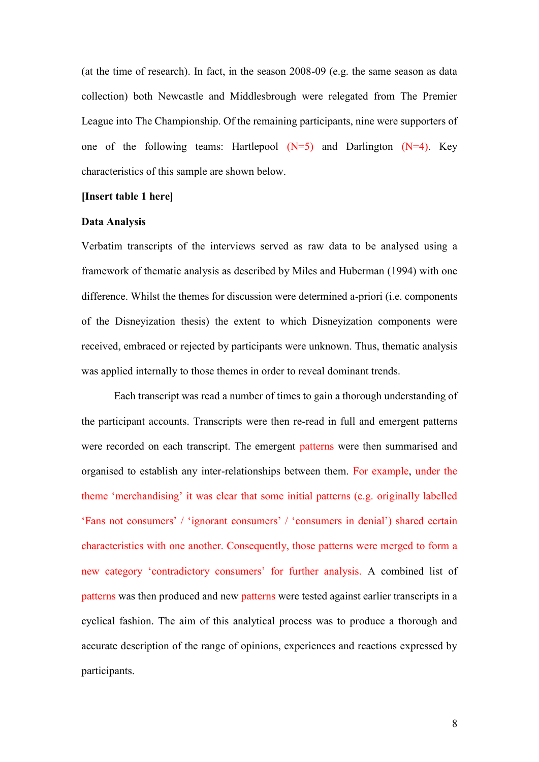(at the time of research). In fact, in the season 2008-09 (e.g. the same season as data collection) both Newcastle and Middlesbrough were relegated from The Premier League into The Championship. Of the remaining participants, nine were supporters of one of the following teams: Hartlepool  $(N=5)$  and Darlington  $(N=4)$ . Key characteristics of this sample are shown below.

# **[Insert table 1 here]**

### **Data Analysis**

Verbatim transcripts of the interviews served as raw data to be analysed using a framework of thematic analysis as described by Miles and Huberman (1994) with one difference. Whilst the themes for discussion were determined a-priori (i.e. components of the Disneyization thesis) the extent to which Disneyization components were received, embraced or rejected by participants were unknown. Thus, thematic analysis was applied internally to those themes in order to reveal dominant trends.

Each transcript was read a number of times to gain a thorough understanding of the participant accounts. Transcripts were then re-read in full and emergent patterns were recorded on each transcript. The emergent patterns were then summarised and organised to establish any inter-relationships between them. For example, under the theme 'merchandising' it was clear that some initial patterns (e.g. originally labelled 'Fans not consumers' / 'ignorant consumers' / 'consumers in denial') shared certain characteristics with one another. Consequently, those patterns were merged to form a new category 'contradictory consumers' for further analysis. A combined list of patterns was then produced and new patterns were tested against earlier transcripts in a cyclical fashion. The aim of this analytical process was to produce a thorough and accurate description of the range of opinions, experiences and reactions expressed by participants.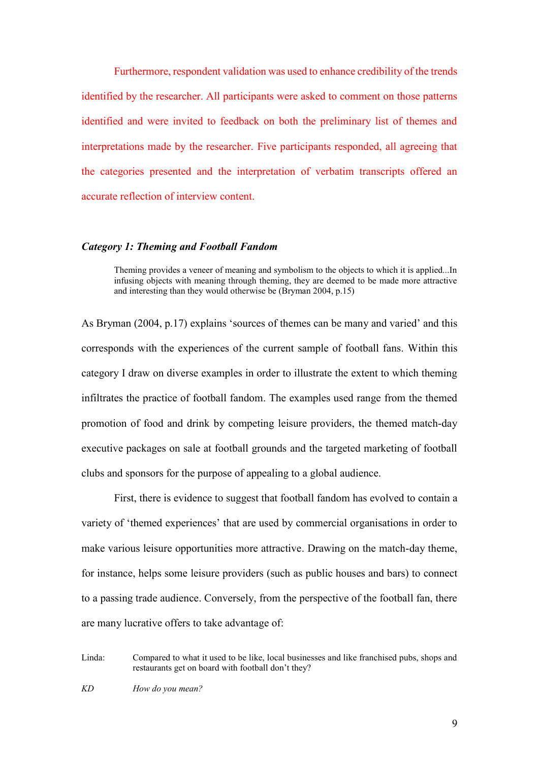Furthermore, respondent validation was used to enhance credibility of the trends identified by the researcher. All participants were asked to comment on those patterns identified and were invited to feedback on both the preliminary list of themes and interpretations made by the researcher. Five participants responded, all agreeing that the categories presented and the interpretation of verbatim transcripts offered an accurate reflection of interview content.

#### *Category 1: Theming and Football Fandom*

Theming provides a veneer of meaning and symbolism to the objects to which it is applied...In infusing objects with meaning through theming, they are deemed to be made more attractive and interesting than they would otherwise be (Bryman 2004, p.15)

As Bryman (2004, p.17) explains 'sources of themes can be many and varied' and this corresponds with the experiences of the current sample of football fans. Within this category I draw on diverse examples in order to illustrate the extent to which theming infiltrates the practice of football fandom. The examples used range from the themed promotion of food and drink by competing leisure providers, the themed match-day executive packages on sale at football grounds and the targeted marketing of football clubs and sponsors for the purpose of appealing to a global audience.

First, there is evidence to suggest that football fandom has evolved to contain a variety of 'themed experiences' that are used by commercial organisations in order to make various leisure opportunities more attractive. Drawing on the match-day theme, for instance, helps some leisure providers (such as public houses and bars) to connect to a passing trade audience. Conversely, from the perspective of the football fan, there are many lucrative offers to take advantage of:

Linda: Compared to what it used to be like, local businesses and like franchised pubs, shops and restaurants get on board with football don't they?

*KD How do you mean?*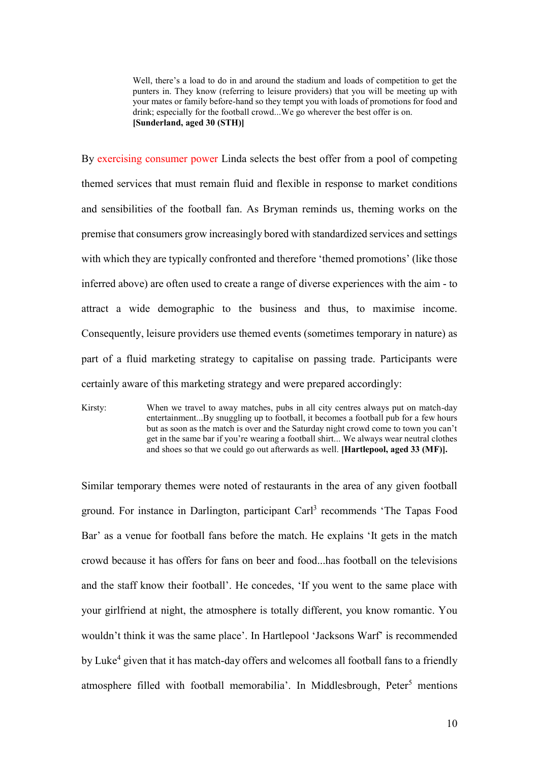Well, there's a load to do in and around the stadium and loads of competition to get the punters in. They know (referring to leisure providers) that you will be meeting up with your mates or family before-hand so they tempt you with loads of promotions for food and drink; especially for the football crowd...We go wherever the best offer is on. **[Sunderland, aged 30 (STH)]**

By exercising consumer power Linda selects the best offer from a pool of competing themed services that must remain fluid and flexible in response to market conditions and sensibilities of the football fan. As Bryman reminds us, theming works on the premise that consumers grow increasingly bored with standardized services and settings with which they are typically confronted and therefore 'themed promotions' (like those inferred above) are often used to create a range of diverse experiences with the aim - to attract a wide demographic to the business and thus, to maximise income. Consequently, leisure providers use themed events (sometimes temporary in nature) as part of a fluid marketing strategy to capitalise on passing trade. Participants were certainly aware of this marketing strategy and were prepared accordingly:

Kirsty: When we travel to away matches, pubs in all city centres always put on match-day entertainment...By snuggling up to football, it becomes a football pub for a few hours but as soon as the match is over and the Saturday night crowd come to town you can't get in the same bar if you're wearing a football shirt... We always wear neutral clothes and shoes so that we could go out afterwards as well. **[Hartlepool, aged 33 (MF)].**

Similar temporary themes were noted of restaurants in the area of any given football ground. For instance in Darlington, participant Carl<sup>3</sup> recommends 'The Tapas Food Bar' as a venue for football fans before the match. He explains 'It gets in the match crowd because it has offers for fans on beer and food...has football on the televisions and the staff know their football'. He concedes, 'If you went to the same place with your girlfriend at night, the atmosphere is totally different, you know romantic. You wouldn't think it was the same place'. In Hartlepool 'Jacksons Warf' is recommended by Luke<sup>4</sup> given that it has match-day offers and welcomes all football fans to a friendly atmosphere filled with football memorabilia'. In Middlesbrough, Peter<sup>5</sup> mentions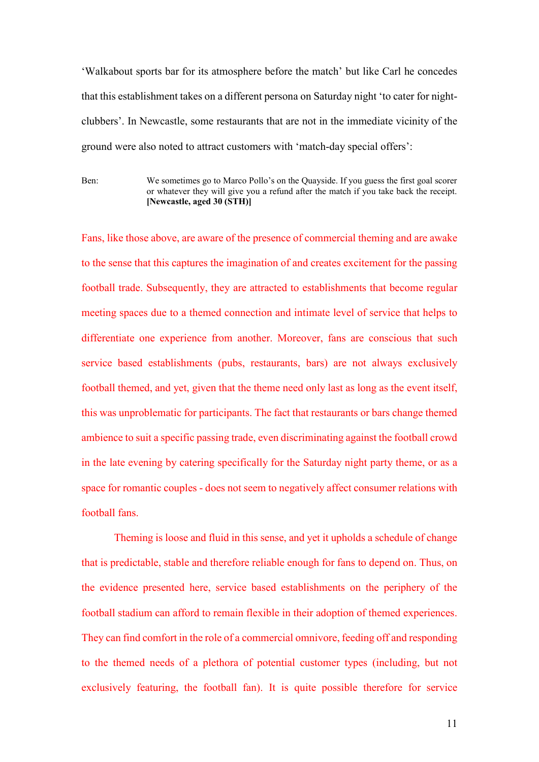'Walkabout sports bar for its atmosphere before the match' but like Carl he concedes that this establishment takes on a different persona on Saturday night 'to cater for nightclubbers'. In Newcastle, some restaurants that are not in the immediate vicinity of the ground were also noted to attract customers with 'match-day special offers':

Ben: We sometimes go to Marco Pollo's on the Quayside. If you guess the first goal scorer or whatever they will give you a refund after the match if you take back the receipt. **[Newcastle, aged 30 (STH)]** 

Fans, like those above, are aware of the presence of commercial theming and are awake to the sense that this captures the imagination of and creates excitement for the passing football trade. Subsequently, they are attracted to establishments that become regular meeting spaces due to a themed connection and intimate level of service that helps to differentiate one experience from another. Moreover, fans are conscious that such service based establishments (pubs, restaurants, bars) are not always exclusively football themed, and yet, given that the theme need only last as long as the event itself, this was unproblematic for participants. The fact that restaurants or bars change themed ambience to suit a specific passing trade, even discriminating against the football crowd in the late evening by catering specifically for the Saturday night party theme, or as a space for romantic couples - does not seem to negatively affect consumer relations with football fans.

Theming is loose and fluid in this sense, and yet it upholds a schedule of change that is predictable, stable and therefore reliable enough for fans to depend on. Thus, on the evidence presented here, service based establishments on the periphery of the football stadium can afford to remain flexible in their adoption of themed experiences. They can find comfort in the role of a commercial omnivore, feeding off and responding to the themed needs of a plethora of potential customer types (including, but not exclusively featuring, the football fan). It is quite possible therefore for service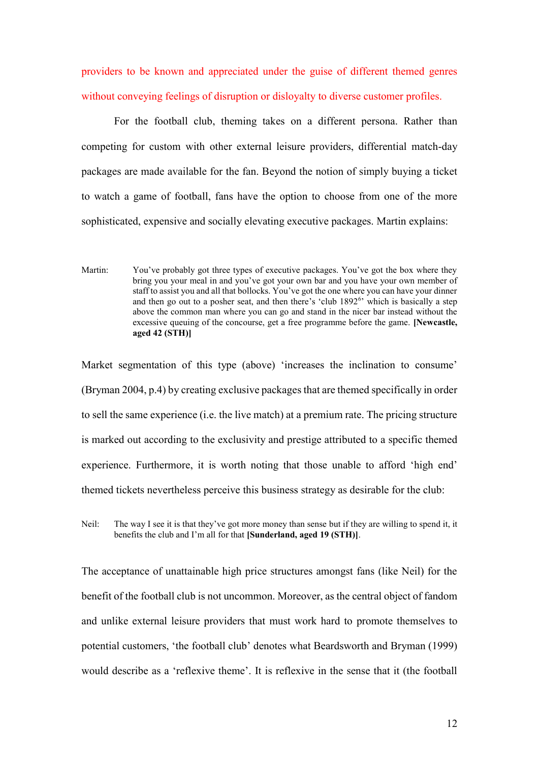providers to be known and appreciated under the guise of different themed genres without conveying feelings of disruption or disloyalty to diverse customer profiles.

 For the football club, theming takes on a different persona. Rather than competing for custom with other external leisure providers, differential match-day packages are made available for the fan. Beyond the notion of simply buying a ticket to watch a game of football, fans have the option to choose from one of the more sophisticated, expensive and socially elevating executive packages. Martin explains:

Martin: You've probably got three types of executive packages. You've got the box where they bring you your meal in and you've got your own bar and you have your own member of staff to assist you and all that bollocks. You've got the one where you can have your dinner and then go out to a posher seat, and then there's 'club 1892<sup>6</sup>' which is basically a step above the common man where you can go and stand in the nicer bar instead without the excessive queuing of the concourse, get a free programme before the game. **[Newcastle, aged 42 (STH)]**

Market segmentation of this type (above) 'increases the inclination to consume' (Bryman 2004, p.4) by creating exclusive packages that are themed specifically in order to sell the same experience (i.e. the live match) at a premium rate. The pricing structure is marked out according to the exclusivity and prestige attributed to a specific themed experience. Furthermore, it is worth noting that those unable to afford 'high end' themed tickets nevertheless perceive this business strategy as desirable for the club:

Neil: The way I see it is that they've got more money than sense but if they are willing to spend it, it benefits the club and I'm all for that **[Sunderland, aged 19 (STH)]**.

The acceptance of unattainable high price structures amongst fans (like Neil) for the benefit of the football club is not uncommon. Moreover, as the central object of fandom and unlike external leisure providers that must work hard to promote themselves to potential customers, 'the football club' denotes what Beardsworth and Bryman (1999) would describe as a 'reflexive theme'. It is reflexive in the sense that it (the football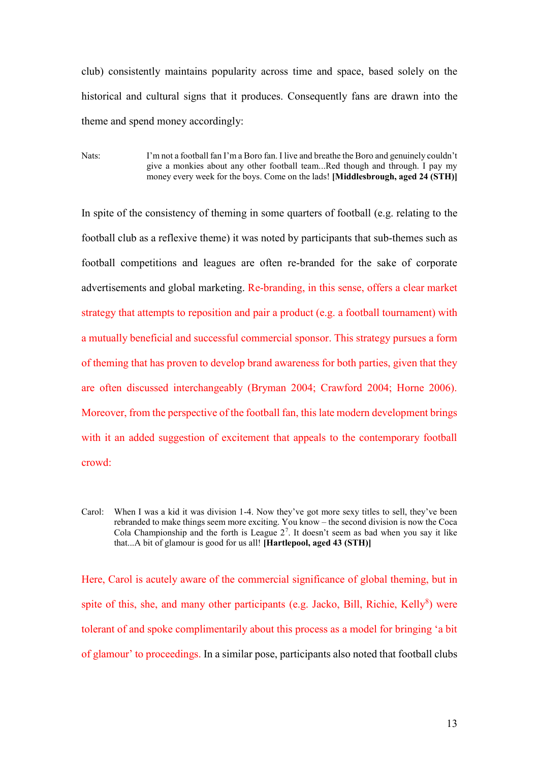club) consistently maintains popularity across time and space, based solely on the historical and cultural signs that it produces. Consequently fans are drawn into the theme and spend money accordingly:

Nats: I'm not a football fan I'm a Boro fan. I live and breathe the Boro and genuinely couldn't give a monkies about any other football team...Red though and through. I pay my money every week for the boys. Come on the lads! **[Middlesbrough, aged 24 (STH)]** 

In spite of the consistency of theming in some quarters of football (e.g. relating to the football club as a reflexive theme) it was noted by participants that sub-themes such as football competitions and leagues are often re-branded for the sake of corporate advertisements and global marketing. Re-branding, in this sense, offers a clear market strategy that attempts to reposition and pair a product (e.g. a football tournament) with a mutually beneficial and successful commercial sponsor. This strategy pursues a form of theming that has proven to develop brand awareness for both parties, given that they are often discussed interchangeably (Bryman 2004; Crawford 2004; Horne 2006). Moreover, from the perspective of the football fan, this late modern development brings with it an added suggestion of excitement that appeals to the contemporary football crowd:

Carol: When I was a kid it was division 1-4. Now they've got more sexy titles to sell, they've been rebranded to make things seem more exciting. You know – the second division is now the Coca Cola Championship and the forth is League  $2<sup>7</sup>$ . It doesn't seem as bad when you say it like that...A bit of glamour is good for us all! **[Hartlepool, aged 43 (STH)]**

Here, Carol is acutely aware of the commercial significance of global theming, but in spite of this, she, and many other participants (e.g. Jacko, Bill, Richie, Kelly<sup>8</sup>) were tolerant of and spoke complimentarily about this process as a model for bringing 'a bit of glamour' to proceedings. In a similar pose, participants also noted that football clubs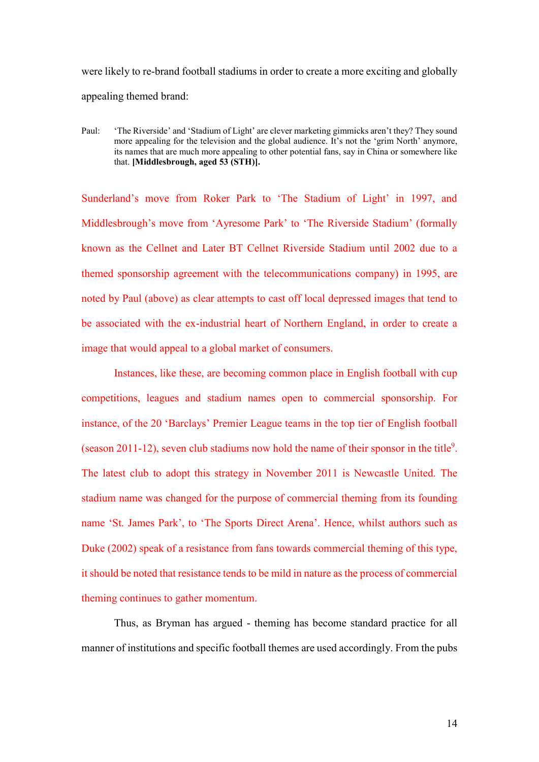were likely to re-brand football stadiums in order to create a more exciting and globally appealing themed brand:

Sunderland's move from Roker Park to 'The Stadium of Light' in 1997, and Middlesbrough's move from 'Ayresome Park' to 'The Riverside Stadium' (formally known as the Cellnet and Later BT Cellnet Riverside Stadium until 2002 due to a themed sponsorship agreement with the telecommunications company) in 1995, are noted by Paul (above) as clear attempts to cast off local depressed images that tend to be associated with the ex-industrial heart of Northern England, in order to create a image that would appeal to a global market of consumers.

Instances, like these, are becoming common place in English football with cup competitions, leagues and stadium names open to commercial sponsorship. For instance, of the 20 'Barclays' Premier League teams in the top tier of English football (season 2011-12), seven club stadiums now hold the name of their sponsor in the title<sup>9</sup>. The latest club to adopt this strategy in November 2011 is Newcastle United. The stadium name was changed for the purpose of commercial theming from its founding name 'St. James Park', to 'The Sports Direct Arena'. Hence, whilst authors such as Duke (2002) speak of a resistance from fans towards commercial theming of this type, it should be noted that resistance tends to be mild in nature as the process of commercial theming continues to gather momentum.

Thus, as Bryman has argued - theming has become standard practice for all manner of institutions and specific football themes are used accordingly. From the pubs

Paul: 'The Riverside' and 'Stadium of Light' are clever marketing gimmicks aren't they? They sound more appealing for the television and the global audience. It's not the 'grim North' anymore, its names that are much more appealing to other potential fans, say in China or somewhere like that. **[Middlesbrough, aged 53 (STH)].**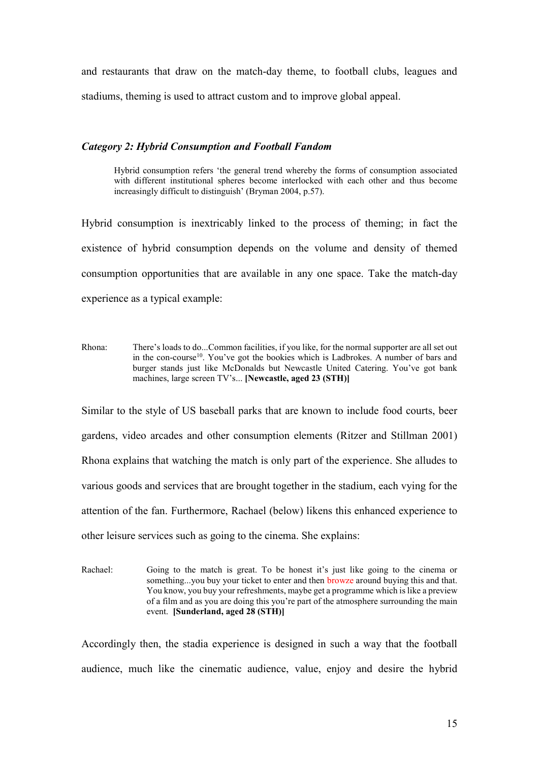and restaurants that draw on the match-day theme, to football clubs, leagues and stadiums, theming is used to attract custom and to improve global appeal.

### *Category 2: Hybrid Consumption and Football Fandom*

Hybrid consumption refers 'the general trend whereby the forms of consumption associated with different institutional spheres become interlocked with each other and thus become increasingly difficult to distinguish' (Bryman 2004, p.57).

Hybrid consumption is inextricably linked to the process of theming; in fact the existence of hybrid consumption depends on the volume and density of themed consumption opportunities that are available in any one space. Take the match-day experience as a typical example:

Rhona: There's loads to do...Common facilities, if you like, for the normal supporter are all set out in the con-course<sup>10</sup>. You've got the bookies which is Ladbrokes. A number of bars and burger stands just like McDonalds but Newcastle United Catering. You've got bank machines, large screen TV's... **[Newcastle, aged 23 (STH)]** 

Similar to the style of US baseball parks that are known to include food courts, beer gardens, video arcades and other consumption elements (Ritzer and Stillman 2001) Rhona explains that watching the match is only part of the experience. She alludes to various goods and services that are brought together in the stadium, each vying for the attention of the fan. Furthermore, Rachael (below) likens this enhanced experience to other leisure services such as going to the cinema. She explains:

Rachael: Going to the match is great. To be honest it's just like going to the cinema or something...you buy your ticket to enter and then browze around buying this and that. You know, you buy your refreshments, maybe get a programme which is like a preview of a film and as you are doing this you're part of the atmosphere surrounding the main event. **[Sunderland, aged 28 (STH)]**

Accordingly then, the stadia experience is designed in such a way that the football audience, much like the cinematic audience, value, enjoy and desire the hybrid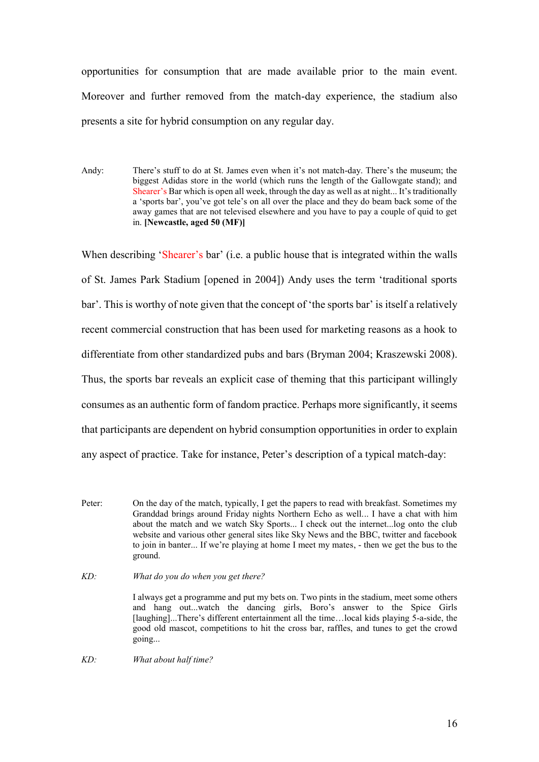opportunities for consumption that are made available prior to the main event. Moreover and further removed from the match-day experience, the stadium also presents a site for hybrid consumption on any regular day.

Andy: There's stuff to do at St. James even when it's not match-day. There's the museum; the biggest Adidas store in the world (which runs the length of the Gallowgate stand); and Shearer's Bar which is open all week, through the day as well as at night... It's traditionally a 'sports bar', you've got tele's on all over the place and they do beam back some of the away games that are not televised elsewhere and you have to pay a couple of quid to get in. **[Newcastle, aged 50 (MF)]** 

When describing 'Shearer's bar' (i.e. a public house that is integrated within the walls of St. James Park Stadium [opened in 2004]) Andy uses the term 'traditional sports bar'. This is worthy of note given that the concept of 'the sports bar' is itself a relatively recent commercial construction that has been used for marketing reasons as a hook to differentiate from other standardized pubs and bars (Bryman 2004; Kraszewski 2008). Thus, the sports bar reveals an explicit case of theming that this participant willingly consumes as an authentic form of fandom practice. Perhaps more significantly, it seems that participants are dependent on hybrid consumption opportunities in order to explain any aspect of practice. Take for instance, Peter's description of a typical match-day:

- Peter: On the day of the match, typically, I get the papers to read with breakfast. Sometimes my Granddad brings around Friday nights Northern Echo as well... I have a chat with him about the match and we watch Sky Sports... I check out the internet...log onto the club website and various other general sites like Sky News and the BBC, twitter and facebook to join in banter... If we're playing at home I meet my mates, - then we get the bus to the ground.
- *KD: What do you do when you get there?*

I always get a programme and put my bets on. Two pints in the stadium, meet some others and hang out...watch the dancing girls, Boro's answer to the Spice Girls [laughing]...There's different entertainment all the time...local kids playing 5-a-side, the good old mascot, competitions to hit the cross bar, raffles, and tunes to get the crowd going...

*KD: What about half time?*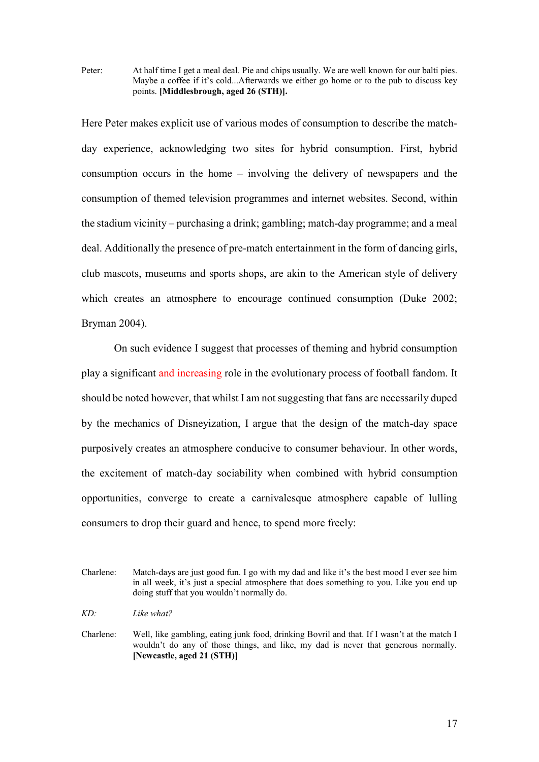Peter: At half time I get a meal deal. Pie and chips usually. We are well known for our balti pies. Maybe a coffee if it's cold...Afterwards we either go home or to the pub to discuss key points. **[Middlesbrough, aged 26 (STH)].** 

Here Peter makes explicit use of various modes of consumption to describe the matchday experience, acknowledging two sites for hybrid consumption. First, hybrid consumption occurs in the home – involving the delivery of newspapers and the consumption of themed television programmes and internet websites. Second, within the stadium vicinity – purchasing a drink; gambling; match-day programme; and a meal deal. Additionally the presence of pre-match entertainment in the form of dancing girls, club mascots, museums and sports shops, are akin to the American style of delivery which creates an atmosphere to encourage continued consumption (Duke 2002; Bryman 2004).

On such evidence I suggest that processes of theming and hybrid consumption play a significant and increasing role in the evolutionary process of football fandom. It should be noted however, that whilst I am not suggesting that fans are necessarily duped by the mechanics of Disneyization, I argue that the design of the match-day space purposively creates an atmosphere conducive to consumer behaviour. In other words, the excitement of match-day sociability when combined with hybrid consumption opportunities, converge to create a carnivalesque atmosphere capable of lulling consumers to drop their guard and hence, to spend more freely:

Charlene: Match-days are just good fun. I go with my dad and like it's the best mood I ever see him in all week, it's just a special atmosphere that does something to you. Like you end up doing stuff that you wouldn't normally do.

*KD: Like what?* 

Charlene: Well, like gambling, eating junk food, drinking Bovril and that. If I wasn't at the match I wouldn't do any of those things, and like, my dad is never that generous normally. **[Newcastle, aged 21 (STH)]**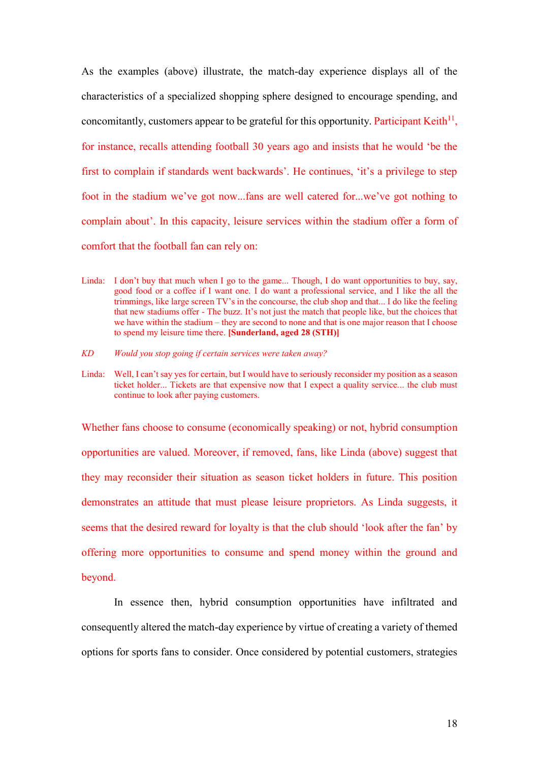As the examples (above) illustrate, the match-day experience displays all of the characteristics of a specialized shopping sphere designed to encourage spending, and concomitantly, customers appear to be grateful for this opportunity. Participant Keith $^{11}$ , for instance, recalls attending football 30 years ago and insists that he would 'be the first to complain if standards went backwards'. He continues, 'it's a privilege to step foot in the stadium we've got now...fans are well catered for...we've got nothing to complain about'. In this capacity, leisure services within the stadium offer a form of comfort that the football fan can rely on:

- Linda: I don't buy that much when I go to the game... Though, I do want opportunities to buy, say, good food or a coffee if I want one. I do want a professional service, and I like the all the trimmings, like large screen TV's in the concourse, the club shop and that... I do like the feeling that new stadiums offer - The buzz. It's not just the match that people like, but the choices that we have within the stadium – they are second to none and that is one major reason that I choose to spend my leisure time there. **[Sunderland, aged 28 (STH)]**
- *KD Would you stop going if certain services were taken away?*
- Linda: Well, I can't say yes for certain, but I would have to seriously reconsider my position as a season ticket holder... Tickets are that expensive now that I expect a quality service... the club must continue to look after paying customers.

Whether fans choose to consume (economically speaking) or not, hybrid consumption opportunities are valued. Moreover, if removed, fans, like Linda (above) suggest that they may reconsider their situation as season ticket holders in future. This position demonstrates an attitude that must please leisure proprietors. As Linda suggests, it seems that the desired reward for loyalty is that the club should 'look after the fan' by offering more opportunities to consume and spend money within the ground and beyond.

In essence then, hybrid consumption opportunities have infiltrated and consequently altered the match-day experience by virtue of creating a variety of themed options for sports fans to consider. Once considered by potential customers, strategies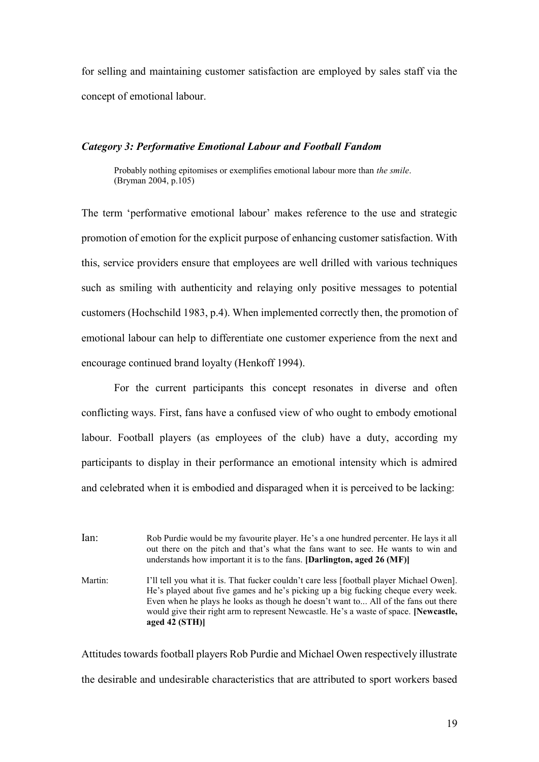for selling and maintaining customer satisfaction are employed by sales staff via the concept of emotional labour.

### *Category 3: Performative Emotional Labour and Football Fandom*

Probably nothing epitomises or exemplifies emotional labour more than *the smile*. (Bryman 2004, p.105)

The term 'performative emotional labour' makes reference to the use and strategic promotion of emotion for the explicit purpose of enhancing customer satisfaction. With this, service providers ensure that employees are well drilled with various techniques such as smiling with authenticity and relaying only positive messages to potential customers (Hochschild 1983, p.4). When implemented correctly then, the promotion of emotional labour can help to differentiate one customer experience from the next and encourage continued brand loyalty (Henkoff 1994).

 For the current participants this concept resonates in diverse and often conflicting ways. First, fans have a confused view of who ought to embody emotional labour. Football players (as employees of the club) have a duty, according my participants to display in their performance an emotional intensity which is admired and celebrated when it is embodied and disparaged when it is perceived to be lacking:

Ian: Rob Purdie would be my favourite player. He's a one hundred percenter. He lays it all out there on the pitch and that's what the fans want to see. He wants to win and understands how important it is to the fans. **[Darlington, aged 26 (MF)]** 

Martin: I'll tell you what it is. That fucker couldn't care less [football player Michael Owen]. He's played about five games and he's picking up a big fucking cheque every week. Even when he plays he looks as though he doesn't want to... All of the fans out there would give their right arm to represent Newcastle. He's a waste of space. **[Newcastle, aged 42 (STH)]** 

Attitudes towards football players Rob Purdie and Michael Owen respectively illustrate the desirable and undesirable characteristics that are attributed to sport workers based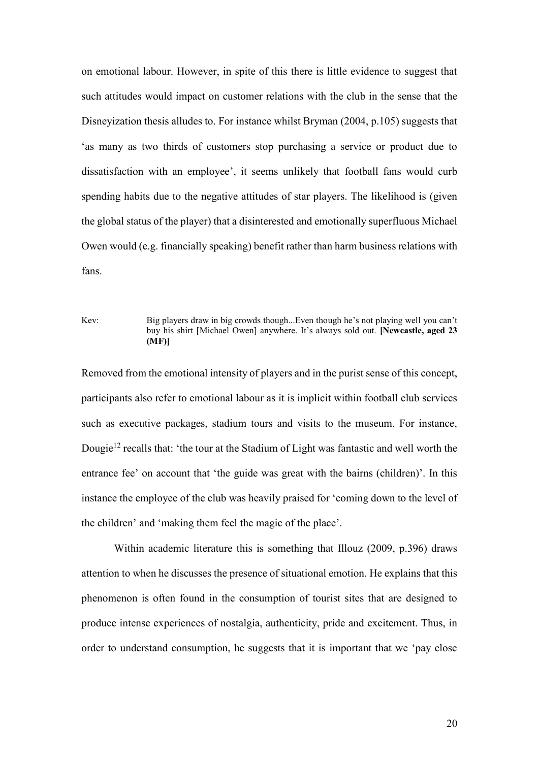on emotional labour. However, in spite of this there is little evidence to suggest that such attitudes would impact on customer relations with the club in the sense that the Disneyization thesis alludes to. For instance whilst Bryman (2004, p.105) suggests that 'as many as two thirds of customers stop purchasing a service or product due to dissatisfaction with an employee', it seems unlikely that football fans would curb spending habits due to the negative attitudes of star players. The likelihood is (given the global status of the player) that a disinterested and emotionally superfluous Michael Owen would (e.g. financially speaking) benefit rather than harm business relations with fans.

### Kev: Big players draw in big crowds though...Even though he's not playing well you can't buy his shirt [Michael Owen] anywhere. It's always sold out. **[Newcastle, aged 23 (MF)]**

Removed from the emotional intensity of players and in the purist sense of this concept, participants also refer to emotional labour as it is implicit within football club services such as executive packages, stadium tours and visits to the museum. For instance, Dougie<sup>12</sup> recalls that: 'the tour at the Stadium of Light was fantastic and well worth the entrance fee' on account that 'the guide was great with the bairns (children)'. In this instance the employee of the club was heavily praised for 'coming down to the level of the children' and 'making them feel the magic of the place'.

Within academic literature this is something that Illouz (2009, p.396) draws attention to when he discusses the presence of situational emotion. He explains that this phenomenon is often found in the consumption of tourist sites that are designed to produce intense experiences of nostalgia, authenticity, pride and excitement. Thus, in order to understand consumption, he suggests that it is important that we 'pay close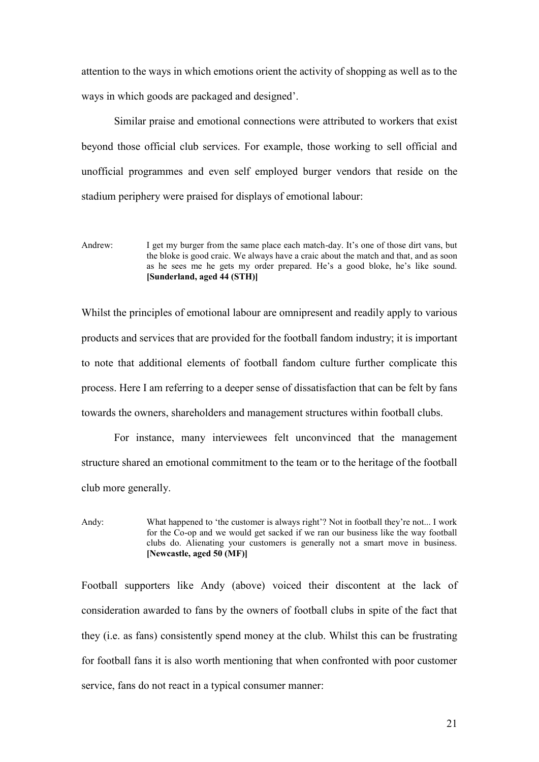attention to the ways in which emotions orient the activity of shopping as well as to the ways in which goods are packaged and designed'.

Similar praise and emotional connections were attributed to workers that exist beyond those official club services. For example, those working to sell official and unofficial programmes and even self employed burger vendors that reside on the stadium periphery were praised for displays of emotional labour:

Whilst the principles of emotional labour are omnipresent and readily apply to various products and services that are provided for the football fandom industry; it is important to note that additional elements of football fandom culture further complicate this process. Here I am referring to a deeper sense of dissatisfaction that can be felt by fans towards the owners, shareholders and management structures within football clubs.

For instance, many interviewees felt unconvinced that the management structure shared an emotional commitment to the team or to the heritage of the football club more generally.

Andy: What happened to 'the customer is always right'? Not in football they're not... I work for the Co-op and we would get sacked if we ran our business like the way football clubs do. Alienating your customers is generally not a smart move in business. **[Newcastle, aged 50 (MF)]** 

Football supporters like Andy (above) voiced their discontent at the lack of consideration awarded to fans by the owners of football clubs in spite of the fact that they (i.e. as fans) consistently spend money at the club. Whilst this can be frustrating for football fans it is also worth mentioning that when confronted with poor customer service, fans do not react in a typical consumer manner:

Andrew: I get my burger from the same place each match-day. It's one of those dirt vans, but the bloke is good craic. We always have a craic about the match and that, and as soon as he sees me he gets my order prepared. He's a good bloke, he's like sound. **[Sunderland, aged 44 (STH)]**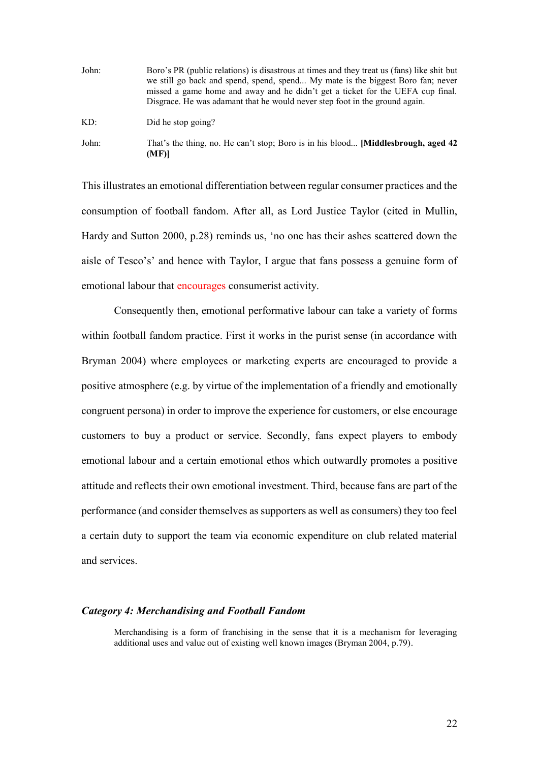John: Boro's PR (public relations) is disastrous at times and they treat us (fans) like shit but we still go back and spend, spend, spend... My mate is the biggest Boro fan; never missed a game home and away and he didn't get a ticket for the UEFA cup final. Disgrace. He was adamant that he would never step foot in the ground again.

KD: Did he stop going?

John: That's the thing, no. He can't stop; Boro is in his blood... **[Middlesbrough, aged 42 (MF)]** 

This illustrates an emotional differentiation between regular consumer practices and the consumption of football fandom. After all, as Lord Justice Taylor (cited in Mullin, Hardy and Sutton 2000, p.28) reminds us, 'no one has their ashes scattered down the aisle of Tesco's' and hence with Taylor, I argue that fans possess a genuine form of emotional labour that encourages consumerist activity.

Consequently then, emotional performative labour can take a variety of forms within football fandom practice. First it works in the purist sense (in accordance with Bryman 2004) where employees or marketing experts are encouraged to provide a positive atmosphere (e.g. by virtue of the implementation of a friendly and emotionally congruent persona) in order to improve the experience for customers, or else encourage customers to buy a product or service. Secondly, fans expect players to embody emotional labour and a certain emotional ethos which outwardly promotes a positive attitude and reflects their own emotional investment. Third, because fans are part of the performance (and consider themselves as supporters as well as consumers) they too feel a certain duty to support the team via economic expenditure on club related material and services.

### *Category 4: Merchandising and Football Fandom*

Merchandising is a form of franchising in the sense that it is a mechanism for leveraging additional uses and value out of existing well known images (Bryman 2004, p.79).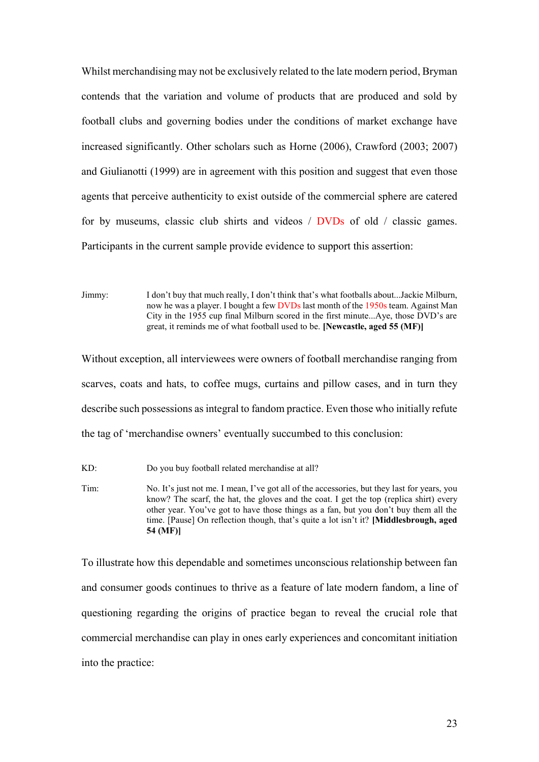Whilst merchandising may not be exclusively related to the late modern period, Bryman contends that the variation and volume of products that are produced and sold by football clubs and governing bodies under the conditions of market exchange have increased significantly. Other scholars such as Horne (2006), Crawford (2003; 2007) and Giulianotti (1999) are in agreement with this position and suggest that even those agents that perceive authenticity to exist outside of the commercial sphere are catered for by museums, classic club shirts and videos / DVDs of old / classic games. Participants in the current sample provide evidence to support this assertion:

Jimmy: I don't buy that much really, I don't think that's what footballs about...Jackie Milburn, now he was a player. I bought a few DVDs last month of the 1950s team. Against Man City in the 1955 cup final Milburn scored in the first minute...Aye, those DVD's are great, it reminds me of what football used to be. **[Newcastle, aged 55 (MF)]** 

Without exception, all interviewees were owners of football merchandise ranging from scarves, coats and hats, to coffee mugs, curtains and pillow cases, and in turn they describe such possessions as integral to fandom practice. Even those who initially refute the tag of 'merchandise owners' eventually succumbed to this conclusion:

KD: Do you buy football related merchandise at all?

Tim: No. It's just not me. I mean, I've got all of the accessories, but they last for years, you know? The scarf, the hat, the gloves and the coat. I get the top (replica shirt) every other year. You've got to have those things as a fan, but you don't buy them all the time. [Pause] On reflection though, that's quite a lot isn't it? **[Middlesbrough, aged 54 (MF)]** 

To illustrate how this dependable and sometimes unconscious relationship between fan and consumer goods continues to thrive as a feature of late modern fandom, a line of questioning regarding the origins of practice began to reveal the crucial role that commercial merchandise can play in ones early experiences and concomitant initiation into the practice: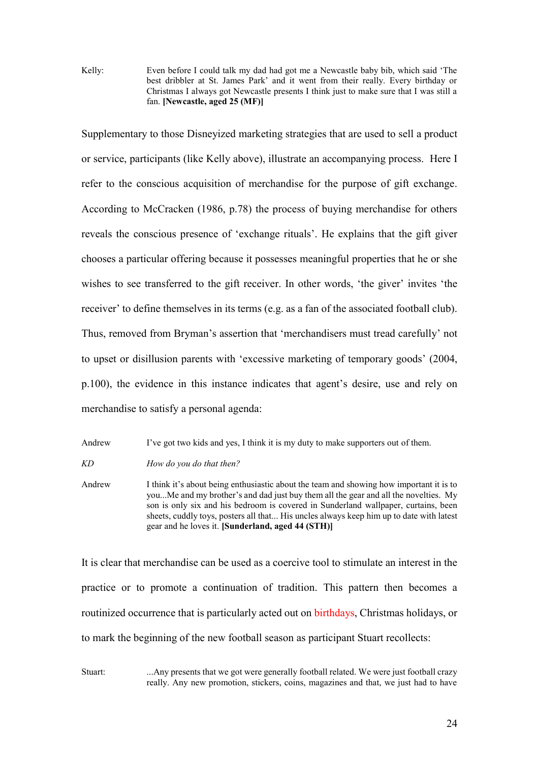Kelly: Even before I could talk my dad had got me a Newcastle baby bib, which said 'The best dribbler at St. James Park' and it went from their really. Every birthday or Christmas I always got Newcastle presents I think just to make sure that I was still a fan. **[Newcastle, aged 25 (MF)]** 

Supplementary to those Disneyized marketing strategies that are used to sell a product or service, participants (like Kelly above), illustrate an accompanying process. Here I refer to the conscious acquisition of merchandise for the purpose of gift exchange. According to McCracken (1986, p.78) the process of buying merchandise for others reveals the conscious presence of 'exchange rituals'. He explains that the gift giver chooses a particular offering because it possesses meaningful properties that he or she wishes to see transferred to the gift receiver. In other words, 'the giver' invites 'the receiver' to define themselves in its terms (e.g. as a fan of the associated football club). Thus, removed from Bryman's assertion that 'merchandisers must tread carefully' not to upset or disillusion parents with 'excessive marketing of temporary goods' (2004, p.100), the evidence in this instance indicates that agent's desire, use and rely on merchandise to satisfy a personal agenda:

Andrew I've got two kids and yes, I think it is my duty to make supporters out of them.

*KD How do you do that then?* 

Andrew I think it's about being enthusiastic about the team and showing how important it is to you...Me and my brother's and dad just buy them all the gear and all the novelties. My son is only six and his bedroom is covered in Sunderland wallpaper, curtains, been sheets, cuddly toys, posters all that... His uncles always keep him up to date with latest gear and he loves it. **[Sunderland, aged 44 (STH)]**

It is clear that merchandise can be used as a coercive tool to stimulate an interest in the practice or to promote a continuation of tradition. This pattern then becomes a routinized occurrence that is particularly acted out on birthdays, Christmas holidays, or to mark the beginning of the new football season as participant Stuart recollects:

Stuart: ...Any presents that we got were generally football related. We were just football crazy really. Any new promotion, stickers, coins, magazines and that, we just had to have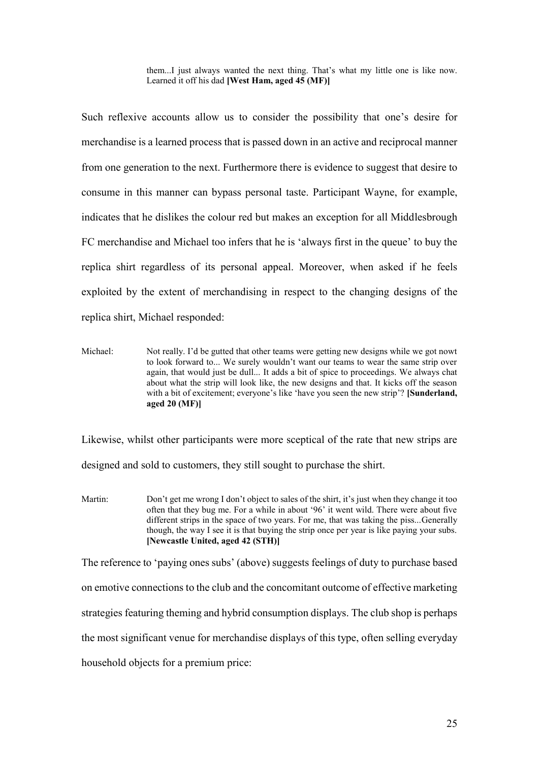them...I just always wanted the next thing. That's what my little one is like now. Learned it off his dad **[West Ham, aged 45 (MF)]**

Such reflexive accounts allow us to consider the possibility that one's desire for merchandise is a learned process that is passed down in an active and reciprocal manner from one generation to the next. Furthermore there is evidence to suggest that desire to consume in this manner can bypass personal taste. Participant Wayne, for example, indicates that he dislikes the colour red but makes an exception for all Middlesbrough FC merchandise and Michael too infers that he is 'always first in the queue' to buy the replica shirt regardless of its personal appeal. Moreover, when asked if he feels exploited by the extent of merchandising in respect to the changing designs of the replica shirt, Michael responded:

Michael: Not really. I'd be gutted that other teams were getting new designs while we got nowt to look forward to... We surely wouldn't want our teams to wear the same strip over again, that would just be dull... It adds a bit of spice to proceedings. We always chat about what the strip will look like, the new designs and that. It kicks off the season with a bit of excitement; everyone's like 'have you seen the new strip'? **[Sunderland, aged 20 (MF)]**

Likewise, whilst other participants were more sceptical of the rate that new strips are designed and sold to customers, they still sought to purchase the shirt.

Martin: Don't get me wrong I don't object to sales of the shirt, it's just when they change it too often that they bug me. For a while in about '96' it went wild. There were about five different strips in the space of two years. For me, that was taking the piss...Generally though, the way I see it is that buying the strip once per year is like paying your subs. **[Newcastle United, aged 42 (STH)]** 

The reference to 'paying ones subs' (above) suggests feelings of duty to purchase based on emotive connections to the club and the concomitant outcome of effective marketing strategies featuring theming and hybrid consumption displays. The club shop is perhaps the most significant venue for merchandise displays of this type, often selling everyday household objects for a premium price: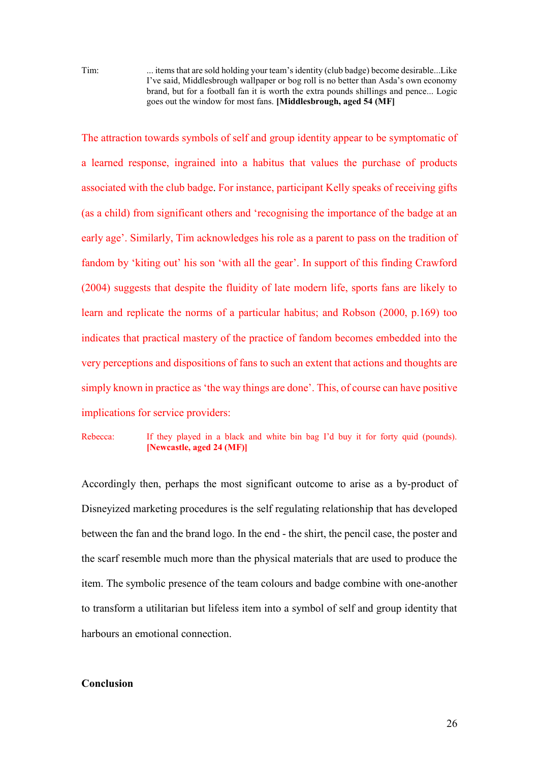Tim: ... items that are sold holding your team's identity (club badge) become desirable...Like I've said, Middlesbrough wallpaper or bog roll is no better than Asda's own economy brand, but for a football fan it is worth the extra pounds shillings and pence... Logic goes out the window for most fans. **[Middlesbrough, aged 54 (MF]**

The attraction towards symbols of self and group identity appear to be symptomatic of a learned response, ingrained into a habitus that values the purchase of products associated with the club badge. For instance, participant Kelly speaks of receiving gifts (as a child) from significant others and 'recognising the importance of the badge at an early age'. Similarly, Tim acknowledges his role as a parent to pass on the tradition of fandom by 'kiting out' his son 'with all the gear'. In support of this finding Crawford (2004) suggests that despite the fluidity of late modern life, sports fans are likely to learn and replicate the norms of a particular habitus; and Robson (2000, p.169) too indicates that practical mastery of the practice of fandom becomes embedded into the very perceptions and dispositions of fans to such an extent that actions and thoughts are simply known in practice as 'the way things are done'. This, of course can have positive implications for service providers:

Rebecca: If they played in a black and white bin bag I'd buy it for forty quid (pounds). **[Newcastle, aged 24 (MF)]**

Accordingly then, perhaps the most significant outcome to arise as a by-product of Disneyized marketing procedures is the self regulating relationship that has developed between the fan and the brand logo. In the end - the shirt, the pencil case, the poster and the scarf resemble much more than the physical materials that are used to produce the item. The symbolic presence of the team colours and badge combine with one-another to transform a utilitarian but lifeless item into a symbol of self and group identity that harbours an emotional connection.

# **Conclusion**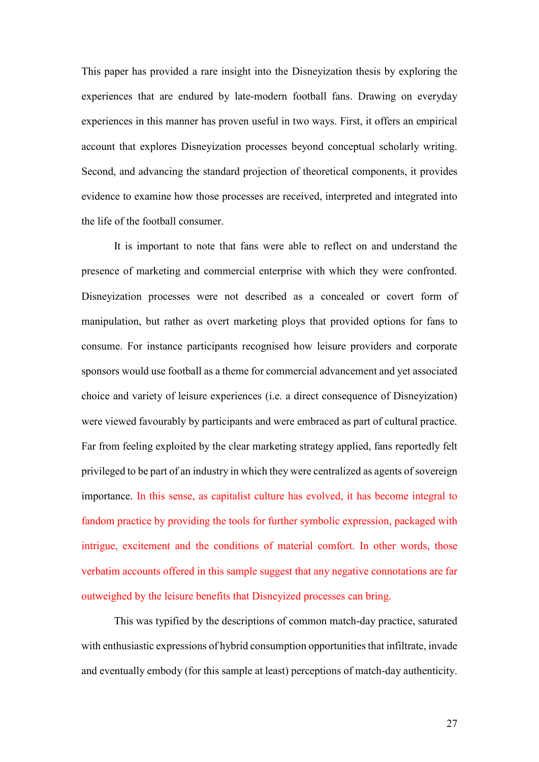This paper has provided a rare insight into the Disneyization thesis by exploring the experiences that are endured by late-modern football fans. Drawing on everyday experiences in this manner has proven useful in two ways. First, it offers an empirical account that explores Disneyization processes beyond conceptual scholarly writing. Second, and advancing the standard projection of theoretical components, it provides evidence to examine how those processes are received, interpreted and integrated into the life of the football consumer.

 It is important to note that fans were able to reflect on and understand the presence of marketing and commercial enterprise with which they were confronted. Disneyization processes were not described as a concealed or covert form of manipulation, but rather as overt marketing ploys that provided options for fans to consume. For instance participants recognised how leisure providers and corporate sponsors would use football as a theme for commercial advancement and yet associated choice and variety of leisure experiences (i.e. a direct consequence of Disneyization) were viewed favourably by participants and were embraced as part of cultural practice. Far from feeling exploited by the clear marketing strategy applied, fans reportedly felt privileged to be part of an industry in which they were centralized as agents of sovereign importance. In this sense, as capitalist culture has evolved, it has become integral to fandom practice by providing the tools for further symbolic expression, packaged with intrigue, excitement and the conditions of material comfort. In other words, those verbatim accounts offered in this sample suggest that any negative connotations are far outweighed by the leisure benefits that Disneyized processes can bring.

This was typified by the descriptions of common match-day practice, saturated with enthusiastic expressions of hybrid consumption opportunities that infiltrate, invade and eventually embody (for this sample at least) perceptions of match-day authenticity.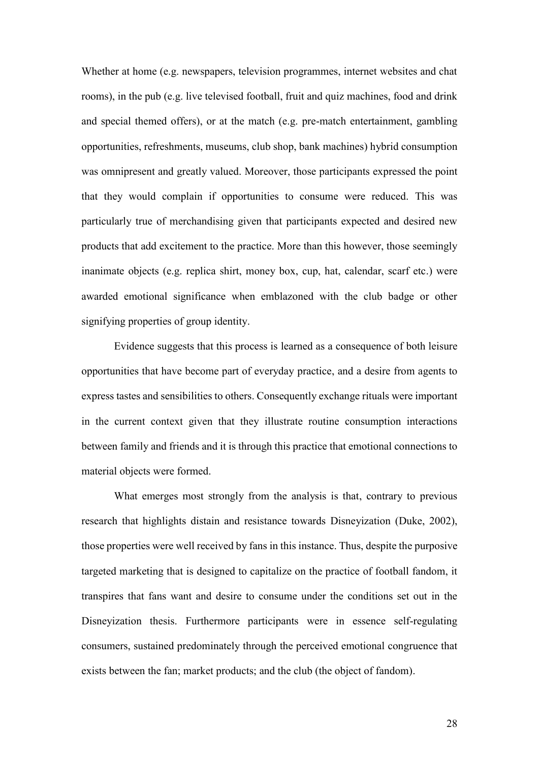Whether at home (e.g. newspapers, television programmes, internet websites and chat rooms), in the pub (e.g. live televised football, fruit and quiz machines, food and drink and special themed offers), or at the match (e.g. pre-match entertainment, gambling opportunities, refreshments, museums, club shop, bank machines) hybrid consumption was omnipresent and greatly valued. Moreover, those participants expressed the point that they would complain if opportunities to consume were reduced. This was particularly true of merchandising given that participants expected and desired new products that add excitement to the practice. More than this however, those seemingly inanimate objects (e.g. replica shirt, money box, cup, hat, calendar, scarf etc.) were awarded emotional significance when emblazoned with the club badge or other signifying properties of group identity.

Evidence suggests that this process is learned as a consequence of both leisure opportunities that have become part of everyday practice, and a desire from agents to express tastes and sensibilities to others. Consequently exchange rituals were important in the current context given that they illustrate routine consumption interactions between family and friends and it is through this practice that emotional connections to material objects were formed.

What emerges most strongly from the analysis is that, contrary to previous research that highlights distain and resistance towards Disneyization (Duke, 2002), those properties were well received by fans in this instance. Thus, despite the purposive targeted marketing that is designed to capitalize on the practice of football fandom, it transpires that fans want and desire to consume under the conditions set out in the Disneyization thesis. Furthermore participants were in essence self-regulating consumers, sustained predominately through the perceived emotional congruence that exists between the fan; market products; and the club (the object of fandom).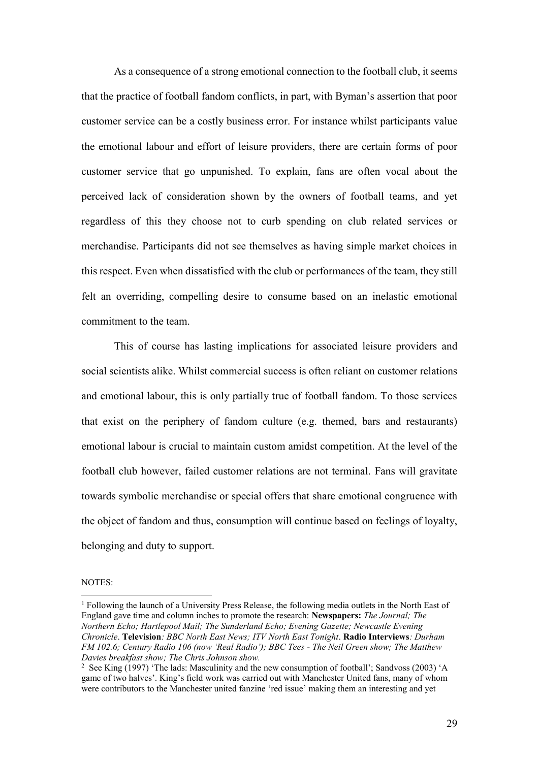As a consequence of a strong emotional connection to the football club, it seems that the practice of football fandom conflicts, in part, with Byman's assertion that poor customer service can be a costly business error. For instance whilst participants value the emotional labour and effort of leisure providers, there are certain forms of poor customer service that go unpunished. To explain, fans are often vocal about the perceived lack of consideration shown by the owners of football teams, and yet regardless of this they choose not to curb spending on club related services or merchandise. Participants did not see themselves as having simple market choices in this respect. Even when dissatisfied with the club or performances of the team, they still felt an overriding, compelling desire to consume based on an inelastic emotional commitment to the team.

This of course has lasting implications for associated leisure providers and social scientists alike. Whilst commercial success is often reliant on customer relations and emotional labour, this is only partially true of football fandom. To those services that exist on the periphery of fandom culture (e.g. themed, bars and restaurants) emotional labour is crucial to maintain custom amidst competition. At the level of the football club however, failed customer relations are not terminal. Fans will gravitate towards symbolic merchandise or special offers that share emotional congruence with the object of fandom and thus, consumption will continue based on feelings of loyalty, belonging and duty to support.

#### NOTES:

-

<sup>&</sup>lt;sup>1</sup> Following the launch of a University Press Release, the following media outlets in the North East of England gave time and column inches to promote the research: **Newspapers:** *The Journal; The Northern Echo; Hartlepool Mail; The Sunderland Echo; Evening Gazette; Newcastle Evening Chronicle*. **Television***: BBC North East News; ITV North East Tonight*. **Radio Interviews***: Durham FM 102.6; Century Radio 106 (now 'Real Radio'); BBC Tees - The Neil Green show; The Matthew Davies breakfast show; The Chris Johnson show.*

<sup>&</sup>lt;sup>2</sup> See King (1997) 'The lads: Masculinity and the new consumption of football'; Sandvoss (2003) 'A game of two halves'. King's field work was carried out with Manchester United fans, many of whom were contributors to the Manchester united fanzine 'red issue' making them an interesting and yet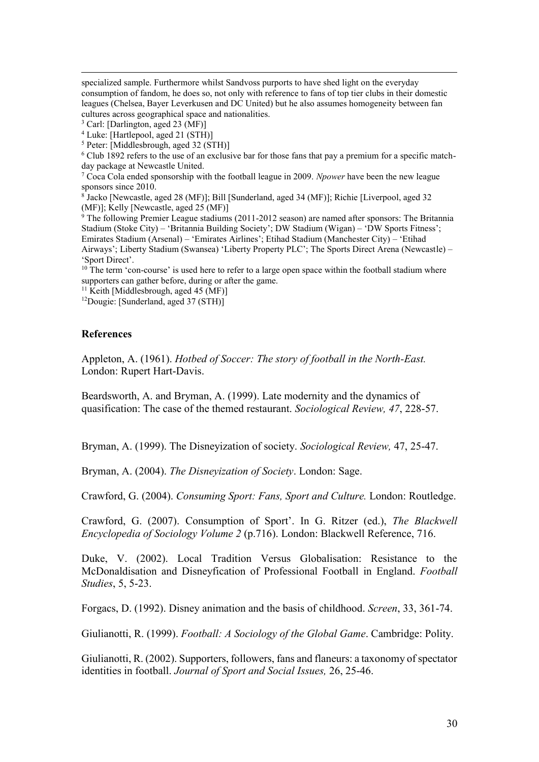specialized sample. Furthermore whilst Sandvoss purports to have shed light on the everyday consumption of fandom, he does so, not only with reference to fans of top tier clubs in their domestic leagues (Chelsea, Bayer Leverkusen and DC United) but he also assumes homogeneity between fan cultures across geographical space and nationalities.

-

4 Luke: [Hartlepool, aged 21 (STH)]

5 Peter: [Middlesbrough, aged 32 (STH)]

<sup>6</sup> Club 1892 refers to the use of an exclusive bar for those fans that pay a premium for a specific matchday package at Newcastle United.

7 Coca Cola ended sponsorship with the football league in 2009. *Npower* have been the new league sponsors since 2010.

8 Jacko [Newcastle, aged 28 (MF)]; Bill [Sunderland, aged 34 (MF)]; Richie [Liverpool, aged 32

(MF)]; Kelly [Newcastle, aged 25 (MF)]<br><sup>9</sup> The following Premier League stadiums (2011-2012 season) are named after sponsors: The Britannia Stadium (Stoke City) – 'Britannia Building Society'; DW Stadium (Wigan) – 'DW Sports Fitness'; Emirates Stadium (Arsenal) – 'Emirates Airlines'; Etihad Stadium (Manchester City) – 'Etihad Airways'; Liberty Stadium (Swansea) 'Liberty Property PLC'; The Sports Direct Arena (Newcastle) – 'Sport Direct'.

 $10$ <sup>10</sup> The term 'con-course' is used here to refer to a large open space within the football stadium where supporters can gather before, during or after the game.

<sup>11</sup> Keith [Middlesbrough, aged  $45$  (MF)]

<sup>12</sup>Dougie: [Sunderland, aged 37 (STH)]

### **References**

Appleton, A. (1961). *Hotbed of Soccer: The story of football in the North-East.*  London: Rupert Hart-Davis.

Beardsworth, A. and Bryman, A. (1999). Late modernity and the dynamics of quasification: The case of the themed restaurant. *Sociological Review, 47*, 228-57.

Bryman, A. (1999). The Disneyization of society. *Sociological Review,* 47, 25-47.

Bryman, A. (2004). *The Disneyization of Society*. London: Sage.

Crawford, G. (2004). *Consuming Sport: Fans, Sport and Culture.* London: Routledge.

Crawford, G. (2007). Consumption of Sport'. In G. Ritzer (ed.), *The Blackwell Encyclopedia of Sociology Volume 2* (p.716). London: Blackwell Reference, 716.

Duke, V. (2002). Local Tradition Versus Globalisation: Resistance to the McDonaldisation and Disneyfication of Professional Football in England. *Football Studies*, 5, 5-23.

Forgacs, D. (1992). Disney animation and the basis of childhood. *Screen*, 33, 361-74.

Giulianotti, R. (1999). *Football: A Sociology of the Global Game*. Cambridge: Polity.

Giulianotti, R. (2002). Supporters, followers, fans and flaneurs: a taxonomy of spectator identities in football. *Journal of Sport and Social Issues,* 26, 25-46.

<sup>&</sup>lt;sup>3</sup> Carl: [Darlington, aged 23 (MF)]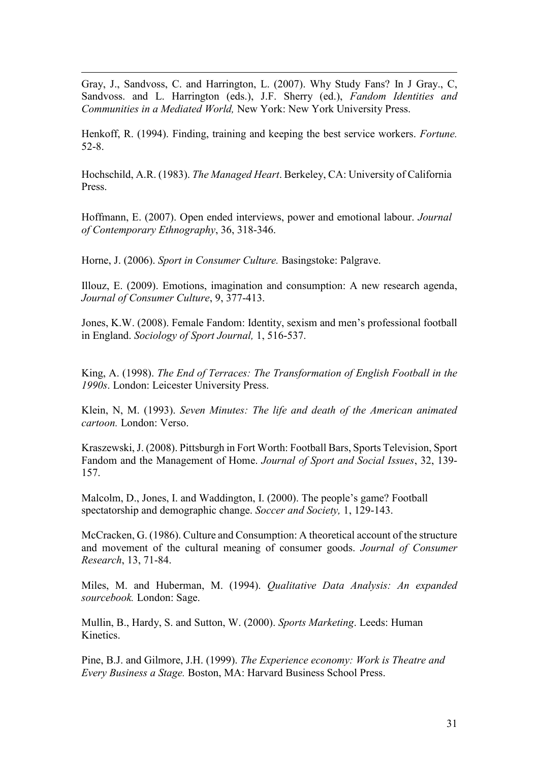Gray, J., Sandvoss, C. and Harrington, L. (2007). Why Study Fans? In J Gray., C, Sandvoss. and L. Harrington (eds.), J.F. Sherry (ed.), *Fandom Identities and Communities in a Mediated World,* New York: New York University Press.

Henkoff, R. (1994). Finding, training and keeping the best service workers. *Fortune.* 52-8.

Hochschild, A.R. (1983). *The Managed Heart*. Berkeley, CA: University of California Press.

Hoffmann, E. (2007). Open ended interviews, power and emotional labour. *Journal of Contemporary Ethnography*, 36, 318-346.

Horne, J. (2006). *Sport in Consumer Culture.* Basingstoke: Palgrave.

-

Illouz, E. (2009). Emotions, imagination and consumption: A new research agenda, *Journal of Consumer Culture*, 9, 377-413.

Jones, K.W. (2008). Female Fandom: Identity, sexism and men's professional football in England. *Sociology of Sport Journal,* 1, 516-537.

King, A. (1998). *The End of Terraces: The Transformation of English Football in the 1990s*. London: Leicester University Press.

Klein, N, M. (1993). *Seven Minutes: The life and death of the American animated cartoon.* London: Verso.

Kraszewski, J. (2008). Pittsburgh in Fort Worth: Football Bars, Sports Television, Sport Fandom and the Management of Home. *Journal of Sport and Social Issues*, 32, 139- 157.

Malcolm, D., Jones, I. and Waddington, I. (2000). The people's game? Football spectatorship and demographic change. *Soccer and Society,* 1, 129-143.

McCracken, G. (1986). Culture and Consumption: A theoretical account of the structure and movement of the cultural meaning of consumer goods. *Journal of Consumer Research*, 13, 71-84.

Miles, M. and Huberman, M. (1994). *Qualitative Data Analysis: An expanded sourcebook.* London: Sage.

Mullin, B., Hardy, S. and Sutton, W. (2000). *Sports Marketing*. Leeds: Human Kinetics.

Pine, B.J. and Gilmore, J.H. (1999). *The Experience economy: Work is Theatre and Every Business a Stage.* Boston, MA: Harvard Business School Press.